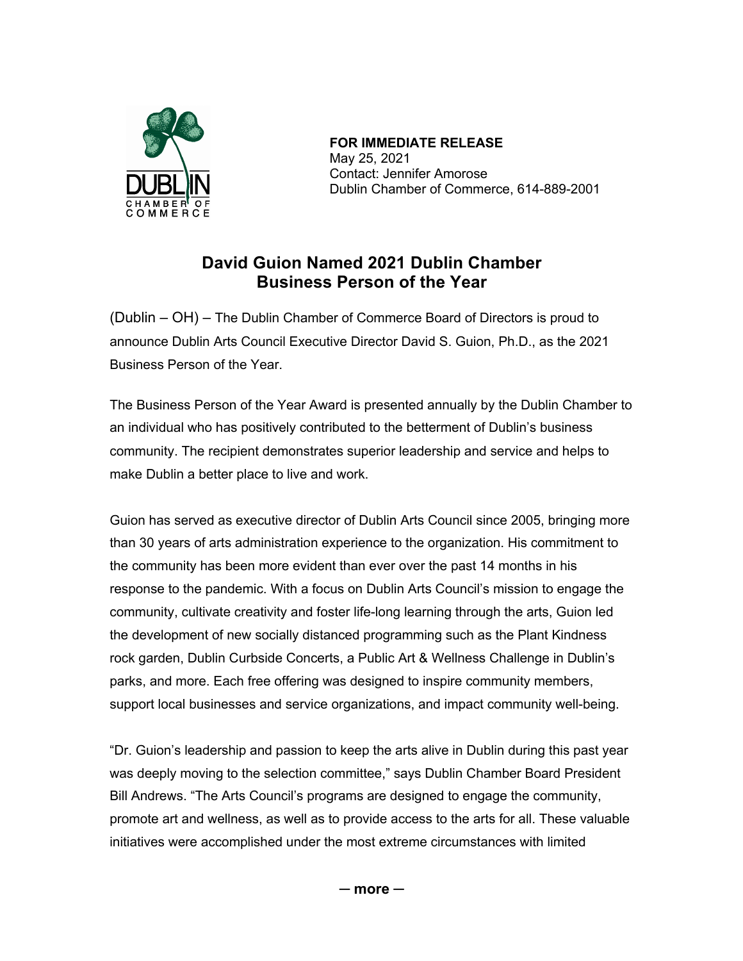

 **FOR IMMEDIATE RELEASE** May 25, 2021 Contact: Jennifer Amorose Dublin Chamber of Commerce, 614-889-2001

## **David Guion Named 2021 Dublin Chamber Business Person of the Year**

(Dublin – OH) – The Dublin Chamber of Commerce Board of Directors is proud to announce Dublin Arts Council Executive Director David S. Guion, Ph.D., as the 2021 Business Person of the Year.

The Business Person of the Year Award is presented annually by the Dublin Chamber to an individual who has positively contributed to the betterment of Dublin's business community. The recipient demonstrates superior leadership and service and helps to make Dublin a better place to live and work.

Guion has served as executive director of Dublin Arts Council since 2005, bringing more than 30 years of arts administration experience to the organization. His commitment to the community has been more evident than ever over the past 14 months in his response to the pandemic. With a focus on Dublin Arts Council's mission to engage the community, cultivate creativity and foster life-long learning through the arts, Guion led the development of new socially distanced programming such as the Plant Kindness rock garden, Dublin Curbside Concerts, a Public Art & Wellness Challenge in Dublin's parks, and more. Each free offering was designed to inspire community members, support local businesses and service organizations, and impact community well-being.

"Dr. Guion's leadership and passion to keep the arts alive in Dublin during this past year was deeply moving to the selection committee," says Dublin Chamber Board President Bill Andrews. "The Arts Council's programs are designed to engage the community, promote art and wellness, as well as to provide access to the arts for all. These valuable initiatives were accomplished under the most extreme circumstances with limited